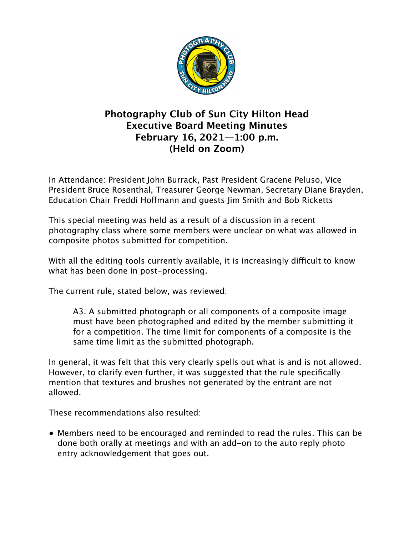

## **Photography Club of Sun City Hilton Head Executive Board Meeting Minutes February 16, 2021—1:00 p.m. (Held on Zoom)**

In Attendance: President John Burrack, Past President Gracene Peluso, Vice President Bruce Rosenthal, Treasurer George Newman, Secretary Diane Brayden, Education Chair Freddi Hoffmann and guests Jim Smith and Bob Ricketts

This special meeting was held as a result of a discussion in a recent photography class where some members were unclear on what was allowed in composite photos submitted for competition.

With all the editing tools currently available, it is increasingly difficult to know what has been done in post-processing.

The current rule, stated below, was reviewed:

A3. A submitted photograph or all components of a composite image must have been photographed and edited by the member submitting it for a competition. The time limit for components of a composite is the same time limit as the submitted photograph.

In general, it was felt that this very clearly spells out what is and is not allowed. However, to clarify even further, it was suggested that the rule specifically mention that textures and brushes not generated by the entrant are not allowed.

These recommendations also resulted:

• Members need to be encouraged and reminded to read the rules. This can be done both orally at meetings and with an add-on to the auto reply photo entry acknowledgement that goes out.